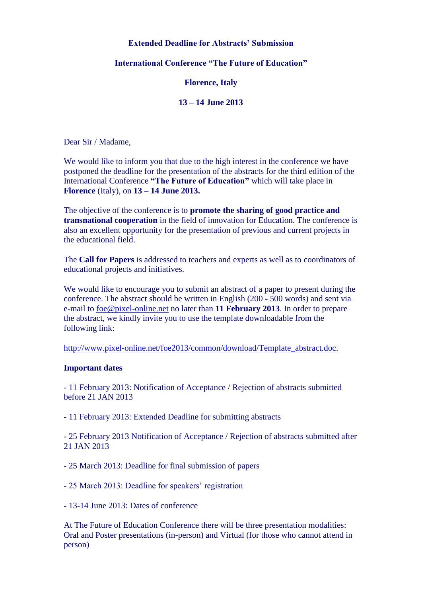# **Extended Deadline for Abstracts' Submission**

# **International Conference "The Future of Education"**

# **Florence, Italy**

# **13 – 14 June 2013**

Dear Sir / Madame,

We would like to inform you that due to the high interest in the conference we have postponed the deadline for the presentation of the abstracts for the third edition of the International Conference **"The Future of Education"** which will take place in **Florence** (Italy), on **13 – 14 June 2013.**

The objective of the conference is to **promote the sharing of good practice and transnational cooperation** in the field of innovation for Education. The conference is also an excellent opportunity for the presentation of previous and current projects in the educational field.

The **Call for Papers** is addressed to teachers and experts as well as to coordinators of educational projects and initiatives.

We would like to encourage you to submit an abstract of a paper to present during the conference. The abstract should be written in English (200 - 500 words) and sent via e-mail to [foe@pixel-online.net](mailto:foe@pixel-online.net) no later than **11 February 2013**. In order to prepare the abstract, we kindly invite you to use the template downloadable from the following link:

[http://www.pixel-online.net/foe2013/common/download/Template\\_abstract.doc.](http://pixel-mz.ns0.it:8080/apache2-default/index.php?option=com_acymailing&no_html=1&ctrl=url&urlid=42&mailid=31&subid=8809)

#### **Important dates**

**-** 11 February 2013: Notification of Acceptance / Rejection of abstracts submitted before 21 JAN 2013

**-** 11 February 2013: Extended Deadline for submitting abstracts

**-** 25 February 2013 Notification of Acceptance / Rejection of abstracts submitted after 21 JAN 2013

- 25 March 2013: Deadline for final submission of papers
- 25 March 2013: Deadline for speakers' registration
- **-** 13-14 June 2013: Dates of conference

At The Future of Education Conference there will be three presentation modalities: Oral and Poster presentations (in-person) and Virtual (for those who cannot attend in person)